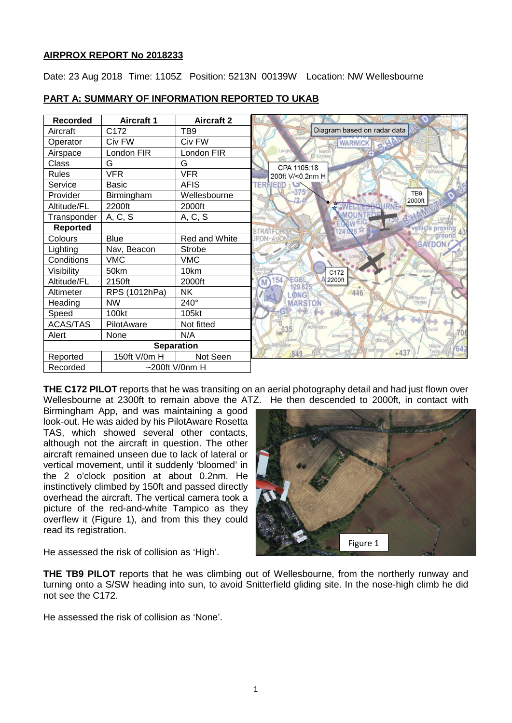#### **AIRPROX REPORT No 2018233**

Date: 23 Aug 2018 Time: 1105Z Position: 5213N 00139W Location: NW Wellesbourne

| <b>Recorded</b>   | <b>Aircraft 1</b>    | <b>Aircraft 2</b> |                                               |
|-------------------|----------------------|-------------------|-----------------------------------------------|
| Aircraft          | C172                 | TB <sub>9</sub>   | Diagram based on radar data                   |
| Operator          | Civ FW               | Civ FW            | <b>WARWICK</b>                                |
| Airspace          | London FIR           | London FIR        | Langie<br>Norton<br>Lindse                    |
| Class             | G                    | G                 | CPA 1105:18                                   |
| Rules             | <b>VFR</b>           | <b>VFR</b>        | 200ft V/<0.2nm H                              |
| Service           | <b>Basic</b>         | <b>AFIS</b>       | <b>ERFIEL</b>                                 |
| Provider          | Birmingham           | Wellesbourne      | 375<br>TB <sub>9</sub><br>$12 -$<br>2000ft    |
| Altitude/FL       | 2200ft               | 2000ft            |                                               |
| Transponder       | A, C, S              | A, C, S           | <b>MOUNTFOR</b><br><b>REW-EIG</b>             |
| <b>Reported</b>   |                      |                   | vehicle proving<br><b>STRATFO</b><br>24.025 R |
| Colours           | <b>Blue</b>          | Red and White     | <i><b>around</b></i><br>JRON-AVON             |
| Lighting          | Nav, Beacon          | <b>Strobe</b>     | <b>GAYDON</b>                                 |
| Conditions        | <b>VMC</b>           | <b>VMC</b>        |                                               |
| Visibility        | 50km                 | 10km              | C172                                          |
| Altitude/FL       | 2150ft               | 2000ft            | <b>EGBI</b><br>154<br>2200ft                  |
| Altimeter         | RPS (1012hPa)        | NΚ                | 446<br><b>ONG</b>                             |
| Heading           | <b>NW</b>            | 240°              | <b>MARSTON</b>                                |
| Speed             | 100kt                | 105kt             |                                               |
| <b>ACAS/TAS</b>   | PilotAware           | Not fitted        | Admington                                     |
| Alert             | None                 | N/A               | 635<br>Armscote                               |
| <b>Separation</b> |                      |                   | 642                                           |
| Reported          | 150ft V/0m H         | Not Seen          | $-437$<br>849                                 |
| Recorded          | $\sim$ 200ft V/0nm H |                   |                                               |

### **PART A: SUMMARY OF INFORMATION REPORTED TO UKAB**

**THE C172 PILOT** reports that he was transiting on an aerial photography detail and had just flown over Wellesbourne at 2300ft to remain above the ATZ. He then descended to 2000ft, in contact with

Birmingham App, and was maintaining a good look-out. He was aided by his PilotAware Rosetta TAS, which showed several other contacts, although not the aircraft in question. The other aircraft remained unseen due to lack of lateral or vertical movement, until it suddenly 'bloomed' in the 2 o'clock position at about 0.2nm. He instinctively climbed by 150ft and passed directly overhead the aircraft. The vertical camera took a picture of the red-and-white Tampico as they overflew it (Figure 1), and from this they could read its registration.



He assessed the risk of collision as 'High'.

**THE TB9 PILOT** reports that he was climbing out of Wellesbourne, from the northerly runway and turning onto a S/SW heading into sun, to avoid Snitterfield gliding site. In the nose-high climb he did not see the C172.

He assessed the risk of collision as 'None'.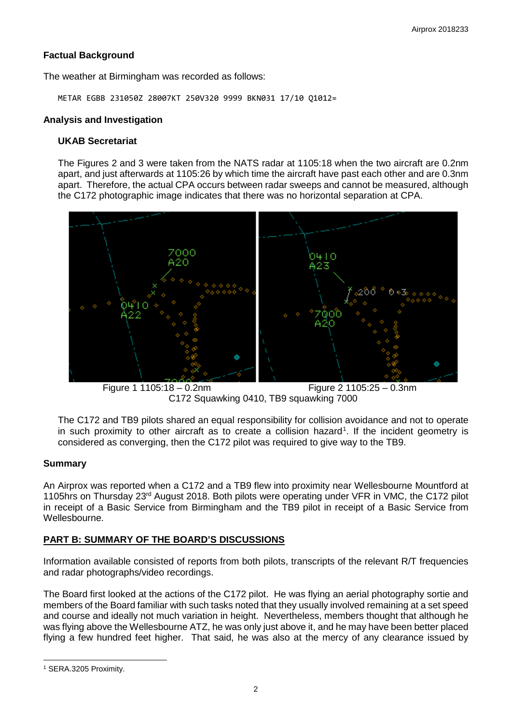### **Factual Background**

The weather at Birmingham was recorded as follows:

METAR EGBB 231050Z 28007KT 250V320 9999 BKN031 17/10 Q1012=

#### **Analysis and Investigation**

## **UKAB Secretariat**

The Figures 2 and 3 were taken from the NATS radar at 1105:18 when the two aircraft are 0.2nm apart, and just afterwards at 1105:26 by which time the aircraft have past each other and are 0.3nm apart. Therefore, the actual CPA occurs between radar sweeps and cannot be measured, although the C172 photographic image indicates that there was no horizontal separation at CPA.



Figure 1 1105:18 – 0.2nm Figure 2 1105:25 – 0.3nm C172 Squawking 0410, TB9 squawking 7000

The C172 and TB9 pilots shared an equal responsibility for collision avoidance and not to operate in such proximity to other aircraft as to create a collision hazard<sup>[1](#page-1-0)</sup>. If the incident geometry is considered as converging, then the C172 pilot was required to give way to the TB9.

### **Summary**

An Airprox was reported when a C172 and a TB9 flew into proximity near Wellesbourne Mountford at 1105hrs on Thursday 23rd August 2018. Both pilots were operating under VFR in VMC, the C172 pilot in receipt of a Basic Service from Birmingham and the TB9 pilot in receipt of a Basic Service from Wellesbourne.

### **PART B: SUMMARY OF THE BOARD'S DISCUSSIONS**

Information available consisted of reports from both pilots, transcripts of the relevant R/T frequencies and radar photographs/video recordings.

The Board first looked at the actions of the C172 pilot. He was flying an aerial photography sortie and members of the Board familiar with such tasks noted that they usually involved remaining at a set speed and course and ideally not much variation in height. Nevertheless, members thought that although he was flying above the Wellesbourne ATZ, he was only just above it, and he may have been better placed flying a few hundred feet higher. That said, he was also at the mercy of any clearance issued by

 $\overline{\phantom{a}}$ 

<span id="page-1-0"></span><sup>1</sup> SERA.3205 Proximity.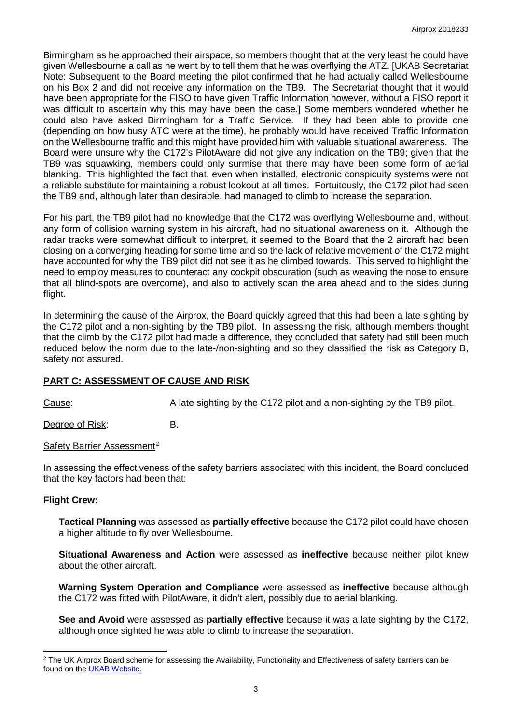Birmingham as he approached their airspace, so members thought that at the very least he could have given Wellesbourne a call as he went by to tell them that he was overflying the ATZ. [UKAB Secretariat Note: Subsequent to the Board meeting the pilot confirmed that he had actually called Wellesbourne on his Box 2 and did not receive any information on the TB9. The Secretariat thought that it would have been appropriate for the FISO to have given Traffic Information however, without a FISO report it was difficult to ascertain why this may have been the case.] Some members wondered whether he could also have asked Birmingham for a Traffic Service. If they had been able to provide one (depending on how busy ATC were at the time), he probably would have received Traffic Information on the Wellesbourne traffic and this might have provided him with valuable situational awareness. The Board were unsure why the C172's PilotAware did not give any indication on the TB9; given that the TB9 was squawking, members could only surmise that there may have been some form of aerial blanking. This highlighted the fact that, even when installed, electronic conspicuity systems were not a reliable substitute for maintaining a robust lookout at all times. Fortuitously, the C172 pilot had seen the TB9 and, although later than desirable, had managed to climb to increase the separation.

For his part, the TB9 pilot had no knowledge that the C172 was overflying Wellesbourne and, without any form of collision warning system in his aircraft, had no situational awareness on it. Although the radar tracks were somewhat difficult to interpret, it seemed to the Board that the 2 aircraft had been closing on a converging heading for some time and so the lack of relative movement of the C172 might have accounted for why the TB9 pilot did not see it as he climbed towards. This served to highlight the need to employ measures to counteract any cockpit obscuration (such as weaving the nose to ensure that all blind-spots are overcome), and also to actively scan the area ahead and to the sides during flight.

In determining the cause of the Airprox, the Board quickly agreed that this had been a late sighting by the C172 pilot and a non-sighting by the TB9 pilot. In assessing the risk, although members thought that the climb by the C172 pilot had made a difference, they concluded that safety had still been much reduced below the norm due to the late-/non-sighting and so they classified the risk as Category B, safety not assured.

### **PART C: ASSESSMENT OF CAUSE AND RISK**

Cause: A late sighting by the C172 pilot and a non-sighting by the TB9 pilot.

Degree of Risk: B.

Safety Barrier Assessment<sup>[2](#page-2-0)</sup>

In assessing the effectiveness of the safety barriers associated with this incident, the Board concluded that the key factors had been that:

# **Flight Crew:**

l

**Tactical Planning** was assessed as **partially effective** because the C172 pilot could have chosen a higher altitude to fly over Wellesbourne.

**Situational Awareness and Action** were assessed as **ineffective** because neither pilot knew about the other aircraft.

**Warning System Operation and Compliance** were assessed as **ineffective** because although the C172 was fitted with PilotAware, it didn't alert, possibly due to aerial blanking.

**See and Avoid** were assessed as **partially effective** because it was a late sighting by the C172, although once sighted he was able to climb to increase the separation.

<span id="page-2-0"></span><sup>&</sup>lt;sup>2</sup> The UK Airprox Board scheme for assessing the Availability, Functionality and Effectiveness of safety barriers can be found on the [UKAB Website.](http://www.airproxboard.org.uk/Learn-more/Airprox-Barrier-Assessment/)